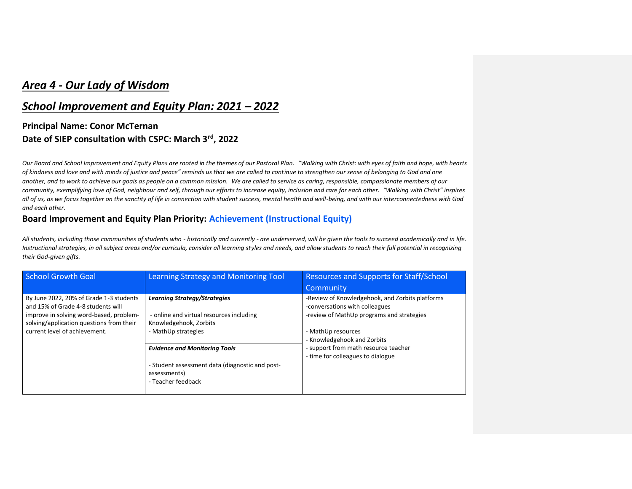# *Area 4 - Our Lady of Wisdom*

### *School Improvement and Equity Plan: 2021 – 2022*

## **Principal Name: Conor McTernan Date of SIEP consultation with CSPC: March 3rd, 2022**

*Our Board and School Improvement and Equity Plans are rooted in the themes of our Pastoral Plan. "Walking with Christ: with eyes of faith and hope, with hearts of kindness and love and with minds of justice and peace" reminds us that we are called to continue to strengthen our sense of belonging to God and one another, and to work to achieve our goals as people on a common mission. We are called to service as caring, responsible, compassionate members of our community, exemplifying love of God, neighbour and self, through our efforts to increase equity, inclusion and care for each other. "Walking with Christ" inspires all of us, as we focus together on the sanctity of life in connection with student success, mental health and well-being, and with our interconnectedness with God and each other.*

#### **Board Improvement and Equity Plan Priority: Achievement (Instructional Equity)**

*All students, including those communities of students who - historically and currently - are underserved, will be given the tools to succeed academically and in life. Instructional strategies, in all subject areas and/or curricula, consider all learning styles and needs, and allow students to reach their full potential in recognizing their God-given gifts.*

| <b>School Growth Goal</b>                                                                                                                                                                             | Learning Strategy and Monitoring Tool                                                                                            | <b>Resources and Supports for Staff/School</b><br>Community                                                                                                                                                                                                      |
|-------------------------------------------------------------------------------------------------------------------------------------------------------------------------------------------------------|----------------------------------------------------------------------------------------------------------------------------------|------------------------------------------------------------------------------------------------------------------------------------------------------------------------------------------------------------------------------------------------------------------|
| By June 2022, 20% of Grade 1-3 students<br>and 15% of Grade 4-8 students will<br>improve in solving word-based, problem-<br>solving/application questions from their<br>current level of achievement. | <b>Learning Strategy/Strategies</b><br>- online and virtual resources including<br>Knowledgehook, Zorbits<br>- MathUp strategies | -Review of Knowledgehook, and Zorbits platforms<br>-conversations with colleagues<br>-review of MathUp programs and strategies<br>- MathUp resources<br>- Knowledgehook and Zorbits<br>- support from math resource teacher<br>- time for colleagues to dialogue |
|                                                                                                                                                                                                       | <b>Evidence and Monitoring Tools</b><br>- Student assessment data (diagnostic and post-<br>assessments)<br>- Teacher feedback    |                                                                                                                                                                                                                                                                  |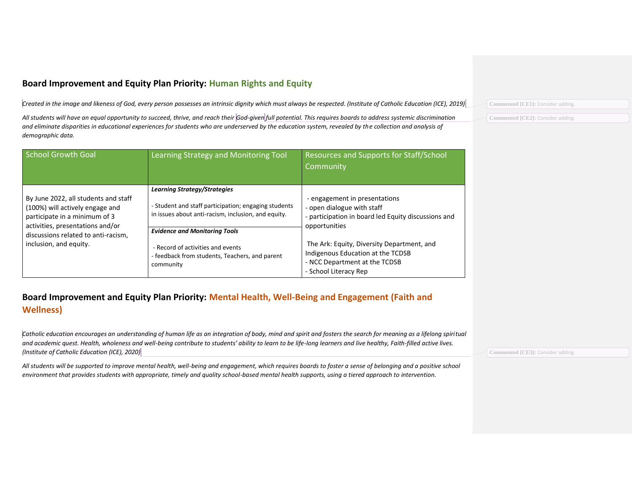### **Board Improvement and Equity Plan Priority: Human Rights and Equity**

*Created in the image and likeness of God, every person possesses an intrinsic dignity which must always be respected. (Institute of Catholic Education (ICE), 2019)*

*All students will have an equal opportunity to succeed, thrive, and reach their God-given full potential. This requires boards to address systemic discrimination and eliminate disparities in educational experiences for students who are underserved by the education system, revealed by the collection and analysis of demographic data.*

| <b>School Growth Goal</b>                                                                                                                                                                                     | Learning Strategy and Monitoring Tool                                                                                                                                                                                                                                                          | <b>Resources and Supports for Staff/School</b><br>Community                                                                                                                                                                                                                      |
|---------------------------------------------------------------------------------------------------------------------------------------------------------------------------------------------------------------|------------------------------------------------------------------------------------------------------------------------------------------------------------------------------------------------------------------------------------------------------------------------------------------------|----------------------------------------------------------------------------------------------------------------------------------------------------------------------------------------------------------------------------------------------------------------------------------|
| By June 2022, all students and staff<br>(100%) will actively engage and<br>participate in a minimum of 3<br>activities, presentations and/or<br>discussions related to anti-racism,<br>inclusion, and equity. | <b>Learning Strategy/Strategies</b><br>- Student and staff participation; engaging students<br>in issues about anti-racism, inclusion, and equity.<br><b>Evidence and Monitoring Tools</b><br>- Record of activities and events<br>- feedback from students, Teachers, and parent<br>community | - engagement in presentations<br>- open dialogue with staff<br>- participation in board led Equity discussions and<br>opportunities<br>The Ark: Equity, Diversity Department, and<br>Indigenous Education at the TCDSB<br>- NCC Department at the TCDSB<br>- School Literacy Rep |

### **Board Improvement and Equity Plan Priority: Mental Health, Well-Being and Engagement (Faith and Wellness)**

*Catholic education encourages an understanding of human life as an integration of body, mind and spirit and fosters the search for meaning as a lifelong spiritual and academic quest. Health, wholeness and well-being contribute to students' ability to learn to be life-long learners and live healthy, Faith-filled active lives. (Institute of Catholic Education (ICE), 2020)*

*All students will be supported to improve mental health, well-being and engagement, which requires boards to foster a sense of belonging and a positive school environment that provides students with appropriate, timely and quality school-based mental health supports, using a tiered approach to intervention.*

**Commented [CE3]:** Consider adding.

**Commented [CE1]:** Consider adding.

**Commented [CE2]:** Consider adding.